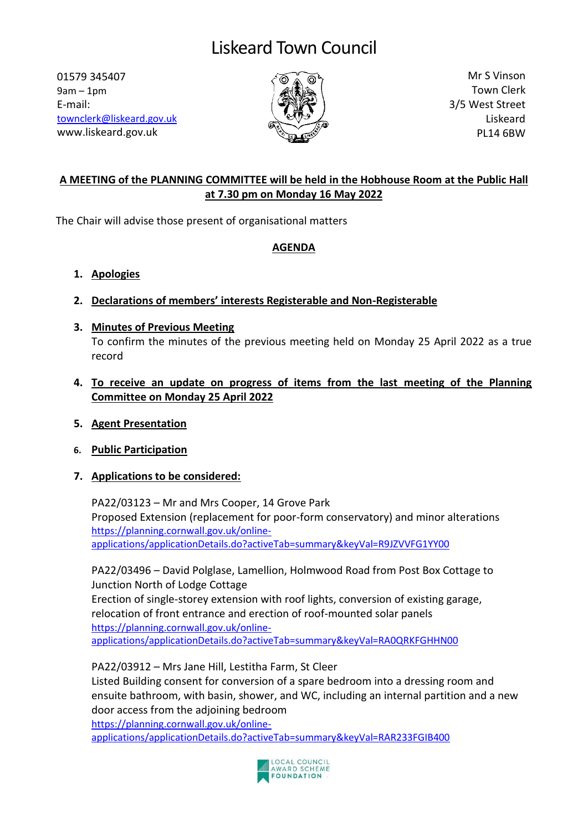# Liskeard Town Council

01579 345407 9am – 1pm E-mail: [townclerk@liskeard.gov.uk](mailto:townclerk@liskeard.gov.uk) www.liskeard.gov.uk



Mr S Vinson Town Clerk 3/5 West Street Liskeard PL14 6BW

## **A MEETING of the PLANNING COMMITTEE will be held in the Hobhouse Room at the Public Hall at 7.30 pm on Monday 16 May 2022**

The Chair will advise those present of organisational matters

### **AGENDA**

- **1. Apologies**
- **2. Declarations of members' interests Registerable and Non-Registerable**
- **3. Minutes of Previous Meeting** To confirm the minutes of the previous meeting held on Monday 25 April 2022 as a true record
- **4. To receive an update on progress of items from the last meeting of the Planning Committee on Monday 25 April 2022**
- **5. Agent Presentation**
- **6. Public Participation**

## **7. Applications to be considered:**

PA22/03123 – Mr and Mrs Cooper, 14 Grove Park Proposed Extension (replacement for poor-form conservatory) and minor alterations [https://planning.cornwall.gov.uk/online](https://planning.cornwall.gov.uk/online-applications/applicationDetails.do?activeTab=summary&keyVal=R9JZVVFG1YY00)[applications/applicationDetails.do?activeTab=summary&keyVal=R9JZVVFG1YY00](https://planning.cornwall.gov.uk/online-applications/applicationDetails.do?activeTab=summary&keyVal=R9JZVVFG1YY00)

PA22/03496 – David Polglase, Lamellion, Holmwood Road from Post Box Cottage to Junction North of Lodge Cottage

Erection of single-storey extension with roof lights, conversion of existing garage, relocation of front entrance and erection of roof-mounted solar panels [https://planning.cornwall.gov.uk/online](https://planning.cornwall.gov.uk/online-applications/applicationDetails.do?activeTab=summary&keyVal=RA0QRKFGHHN00)[applications/applicationDetails.do?activeTab=summary&keyVal=RA0QRKFGHHN00](https://planning.cornwall.gov.uk/online-applications/applicationDetails.do?activeTab=summary&keyVal=RA0QRKFGHHN00)

PA22/03912 – Mrs Jane Hill, Lestitha Farm, St Cleer

Listed Building consent for conversion of a spare bedroom into a dressing room and ensuite bathroom, with basin, shower, and WC, including an internal partition and a new door access from the adjoining bedroom [https://planning.cornwall.gov.uk/online-](https://planning.cornwall.gov.uk/online-applications/applicationDetails.do?activeTab=summary&keyVal=RAR233FGIB400)

[applications/applicationDetails.do?activeTab=summary&keyVal=RAR233FGIB400](https://planning.cornwall.gov.uk/online-applications/applicationDetails.do?activeTab=summary&keyVal=RAR233FGIB400)